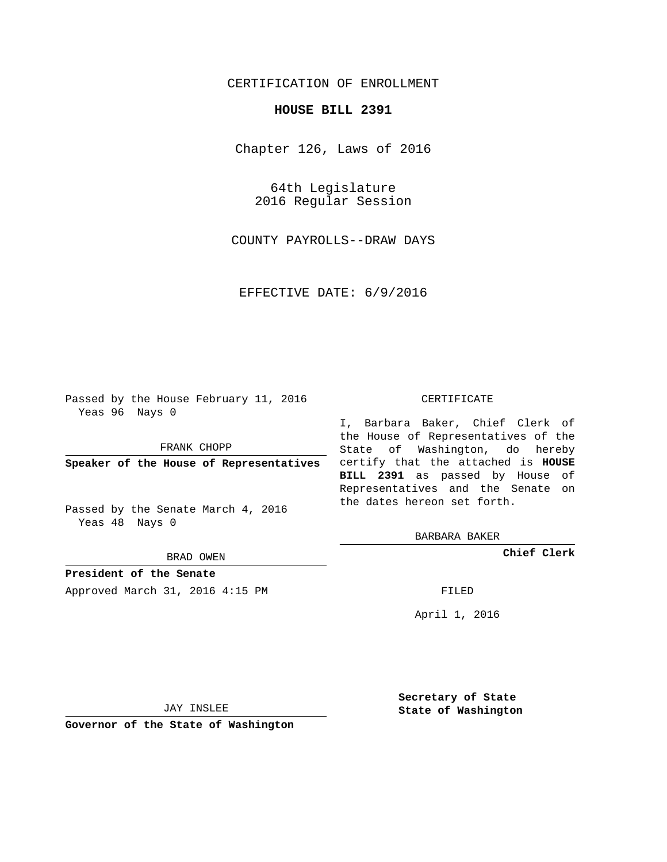# CERTIFICATION OF ENROLLMENT

## **HOUSE BILL 2391**

Chapter 126, Laws of 2016

64th Legislature 2016 Regular Session

COUNTY PAYROLLS--DRAW DAYS

EFFECTIVE DATE: 6/9/2016

Passed by the House February 11, 2016 Yeas 96 Nays 0

FRANK CHOPP

Passed by the Senate March 4, 2016 Yeas 48 Nays 0

BRAD OWEN

**President of the Senate**

Approved March 31, 2016 4:15 PM FILED

#### CERTIFICATE

**Speaker of the House of Representatives** certify that the attached is **HOUSE** I, Barbara Baker, Chief Clerk of the House of Representatives of the State of Washington, do hereby **BILL 2391** as passed by House of Representatives and the Senate on the dates hereon set forth.

BARBARA BAKER

**Chief Clerk**

April 1, 2016

JAY INSLEE

**Governor of the State of Washington**

**Secretary of State State of Washington**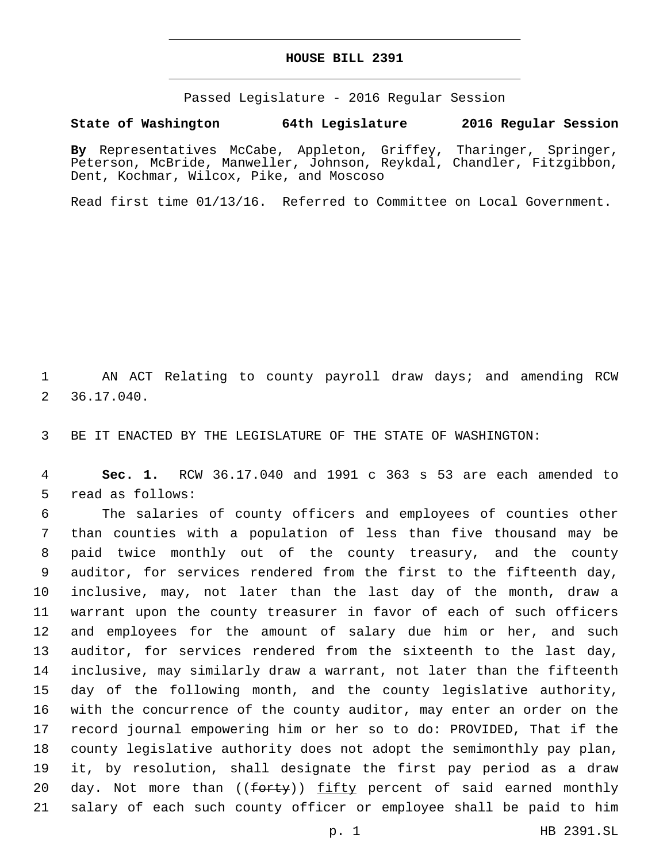### **HOUSE BILL 2391**

Passed Legislature - 2016 Regular Session

## **State of Washington 64th Legislature 2016 Regular Session**

**By** Representatives McCabe, Appleton, Griffey, Tharinger, Springer, Peterson, McBride, Manweller, Johnson, Reykdal, Chandler, Fitzgibbon, Dent, Kochmar, Wilcox, Pike, and Moscoso

Read first time 01/13/16. Referred to Committee on Local Government.

 AN ACT Relating to county payroll draw days; and amending RCW 36.17.040.2

BE IT ENACTED BY THE LEGISLATURE OF THE STATE OF WASHINGTON:

 **Sec. 1.** RCW 36.17.040 and 1991 c 363 s 53 are each amended to 5 read as follows:

 The salaries of county officers and employees of counties other than counties with a population of less than five thousand may be paid twice monthly out of the county treasury, and the county auditor, for services rendered from the first to the fifteenth day, inclusive, may, not later than the last day of the month, draw a warrant upon the county treasurer in favor of each of such officers and employees for the amount of salary due him or her, and such auditor, for services rendered from the sixteenth to the last day, inclusive, may similarly draw a warrant, not later than the fifteenth day of the following month, and the county legislative authority, with the concurrence of the county auditor, may enter an order on the record journal empowering him or her so to do: PROVIDED, That if the county legislative authority does not adopt the semimonthly pay plan, it, by resolution, shall designate the first pay period as a draw 20 day. Not more than ((<del>forty</del>)) <u>fifty</u> percent of said earned monthly salary of each such county officer or employee shall be paid to him